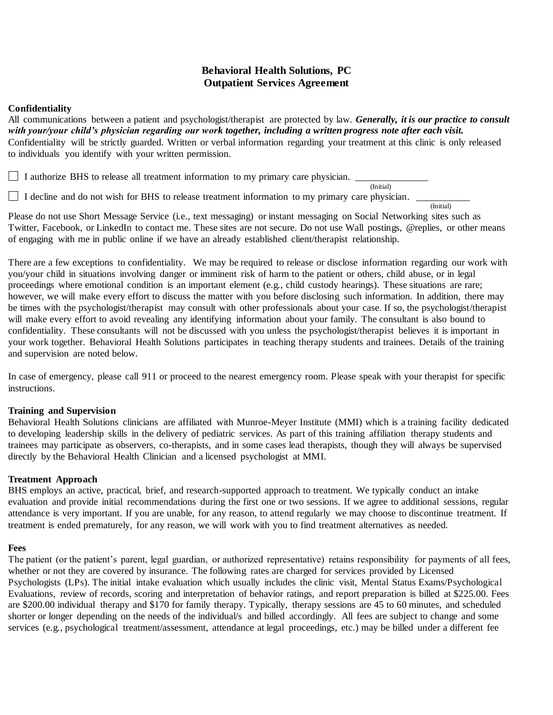# **Behavioral Health Solutions, PC Outpatient Services Agreement**

### **Confidentiality**

All communications between a patient and psychologist/therapist are protected by law. *Generally, it is our practice to consult with your/your child's physician regarding our work together, including a written progress note after each visit.* Confidentiality will be strictly guarded. Written or verbal information regarding your treatment at this clinic is only released to individuals you identify with your written permission.

I authorize BHS to release all treatment information to my primary care physician. (Initial)

 $\Box$  I decline and do not wish for BHS to release treatment information to my primary care physician.

Please do not use Short Message Service (i.e., text messaging) or instant messaging on Social Networking sites such as Twitter, Facebook, or LinkedIn to contact me. These sites are not secure. Do not use Wall postings, @replies, or other means of engaging with me in public online if we have an already established client/therapist relationship.

(Initial)

There are a few exceptions to confidentiality. We may be required to release or disclose information regarding our work with you/your child in situations involving danger or imminent risk of harm to the patient or others, child abuse, or in legal proceedings where emotional condition is an important element (e.g., child custody hearings). These situations are rare; however, we will make every effort to discuss the matter with you before disclosing such information. In addition, there may be times with the psychologist/therapist may consult with other professionals about your case. If so, the psychologist/therapist will make every effort to avoid revealing any identifying information about your family. The consultant is also bound to confidentiality. These consultants will not be discussed with you unless the psychologist/therapist believes it is important in your work together. Behavioral Health Solutions participates in teaching therapy students and trainees. Details of the training and supervision are noted below.

In case of emergency, please call 911 or proceed to the nearest emergency room. Please speak with your therapist for specific instructions.

# **Training and Supervision**

Behavioral Health Solutions clinicians are affiliated with Munroe-Meyer Institute (MMI) which is a training facility dedicated to developing leadership skills in the delivery of pediatric services. As part of this training affiliation therapy students and trainees may participate as observers, co-therapists, and in some cases lead therapists, though they will always be supervised directly by the Behavioral Health Clinician and a licensed psychologist at MMI.

# **Treatment Approach**

BHS employs an active, practical, brief, and research-supported approach to treatment. We typically conduct an intake evaluation and provide initial recommendations during the first one or two sessions. If we agree to additional sessions, regular attendance is very important. If you are unable, for any reason, to attend regularly we may choose to discontinue treatment. If treatment is ended prematurely, for any reason, we will work with you to find treatment alternatives as needed.

#### **Fees**

The patient (or the patient's parent, legal guardian, or authorized representative) retains responsibility for payments of all fees, whether or not they are covered by insurance. The following rates are charged for services provided by Licensed Psychologists (LPs). The initial intake evaluation which usually includes the clinic visit, Mental Status Exams/Psychological Evaluations, review of records, scoring and interpretation of behavior ratings, and report preparation is billed at \$225.00. Fees are \$200.00 individual therapy and \$170 for family therapy. Typically, therapy sessions are 45 to 60 minutes, and scheduled shorter or longer depending on the needs of the individual/s and billed accordingly. All fees are subject to change and some services (e.g., psychological treatment/assessment, attendance at legal proceedings, etc.) may be billed under a different fee